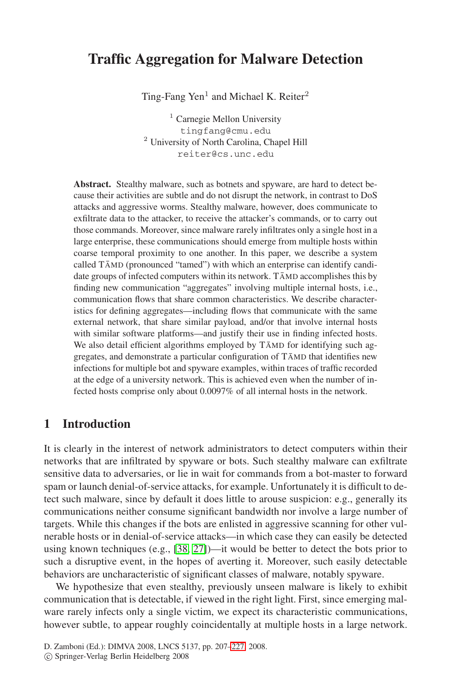# **Traffic Aggregation for Malware Detection**

Ting-Fang Yen<sup>1</sup> and Michael K. Reiter<sup>2</sup>

<sup>1</sup> Carnegie Mellon University tingfang@cmu.edu <sup>2</sup> University of North Carolina, Chapel Hill reiter@cs.unc.edu

**Abstract.** Stealthy malware, such as botnets and spyware, are hard to detect because their activities are subtle and do not disrupt the network, in contrast to DoS attacks and aggressive worms. Stealthy malware, however, does communicate to exfiltrate data to the attacker, to receive the attacker's commands, or to carry out those commands. Moreover, since malware rarely infiltrates only a single host in a large enterprise, these communications should emerge from multiple hosts within coarse temporal proximity to one another. In this paper, we describe a system called  $T\bar{A}MD$  (pronounced "tamed") with which an enterprise can identify candidate groups of infected computers within its network.  $T\bar{A}MD$  accomplishes this by finding new communication "aggregates" involving multiple internal hosts, i.e., communication flows that share common characteristics. We describe characteristics for defining aggregates—including flows that communicate with the same external network, that share similar payload, and/or that involve internal hosts with similar software platforms—and justify their use in finding infected hosts. We also detail efficient algorithms employed by  $T\bar{A}MD$  for identifying such aggregates, and demonstrate a particular configuration of  $T\bar{A}MD$  that identifies new infections for multiple bot and spyware examples, within traces of traffic recorded at the edge of a university network. This is achieved even when the number of infected hosts comprise only about 0.0097% of all internal hosts in the network.

## **1 Introduction**

It is clearly in the interest of network administrators to detect computers within their networks that are infiltrated by spyware or bots. Such stealthy malware can exfiltrate sensitive data to adversaries, or lie in wait for commands from a bot-master to forward spam or launch denial-of-service attacks, for example. Unfortunately it is difficult to detect such malware, since by default it does little to arouse suspicion: e.g., generally its communications neither consume significant bandwidth nor involve a large number of targets. While this changes if the bots are enlisted in aggressive scanning for other vulnerable hosts or in denial-of-service attacks—in which case they can easily be detected using known techniques (e.g., [\[38,](#page-17-0) [27\]](#page-17-1))—it would be better to detect the bots prior to such a disruptive event, in the hopes of averting it. Moreover, such easily detectable behaviors are uncharacteristic of significant classes of malware, notably spyware.

We hypothesize that even stealthy, previously unseen malware is likely to exhibit communication that is detectable, if viewed in the right light. First, since emerging malware rarely infects only a single victim, we expect its characteristic communications, however subtle, to appear roughly coincidentally at multiple hosts in a large network.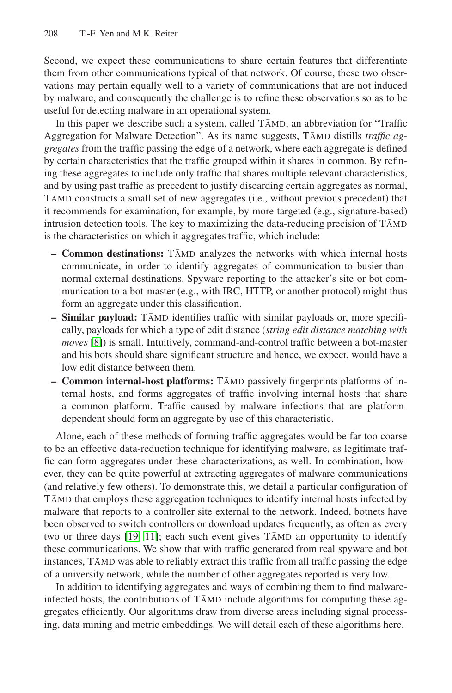Second, we expect these communications to share certain features that differentiate them from other communications typical of that network. Of course, these two observations may pertain equally well to a variety of communications that are not induced by malware, and consequently the challenge is to refine these observations so as to be useful for detecting malware in an operational system.

In this paper we describe such a system, called  $T\overline{A}MD$ , an abbreviation for "Traffic Aggregation for Malware Detection". As its name suggests, TAMD distills *traffic aggregates* from the traffic passing the edge of a network, where each aggregate is defined by certain characteristics that the traffic grouped within it shares in common. By refining these aggregates to include only traffic that shares multiple relevant characteristics, and by using past traffic as precedent to justify discarding certain aggregates as normal, TĀMD constructs a small set of new aggregates (i.e., without previous precedent) that it recommends for examination, for example, by more targeted (e.g., signature-based) intrusion detection tools. The key to maximizing the data-reducing precision of  $T\bar{A}MD$ is the characteristics on which it aggregates traffic, which include:

- $-$  **Common destinations:** T $\bar{A}$ MD analyzes the networks with which internal hosts communicate, in order to identify aggregates of communication to busier-thannormal external destinations. Spyware reporting to the attacker's site or bot communication to a bot-master (e.g., with IRC, HTTP, or another protocol) might thus form an aggregate under this classification.
- Similar payload: TAMD identifies traffic with similar payloads or, more specifically, payloads for which a type of edit distance (*string edit distance matching with moves* [\[8\]](#page-16-0)) is small. Intuitively, command-and-control traffic between a bot-master and his bots should share significant structure and hence, we expect, would have a low edit distance between them.
- **Common internal-host platforms:** TAMD passively fingerprints platforms of internal hosts, and forms aggregates of traffic involving internal hosts that share a common platform. Traffic caused by malware infections that are platformdependent should form an aggregate by use of this characteristic.

Alone, each of these methods of forming traffic aggregates would be far too coarse to be an effective data-reduction technique for identifying malware, as legitimate traffic can form aggregates under these characterizations, as well. In combination, however, they can be quite powerful at extracting aggregates of malware communications (and relatively few others). To demonstrate this, we detail a particular configuration of TAMD that employs these aggregation techniques to identify internal hosts infected by malware that reports to a controller site external to the network. Indeed, botnets have been observed to switch controllers or download updates frequently, as often as every two or three days [\[19,](#page-16-1) [11\]](#page-16-2); each such event gives  $T\bar{A}MD$  an opportunity to identify these communications. We show that with traffic generated from real spyware and bot instances,  $T\bar{A}MD$  was able to reliably extract this traffic from all traffic passing the edge of a university network, while the number of other aggregates reported is very low.

In addition to identifying aggregates and ways of combining them to find malwareinfected hosts, the contributions of  $\overline{T}$  and include algorithms for computing these aggregates efficiently. Our algorithms draw from diverse areas including signal processing, data mining and metric embeddings. We will detail each of these algorithms here.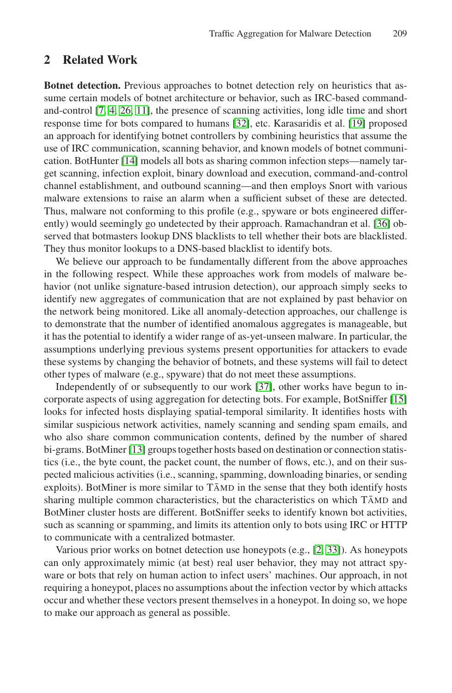### **2 Related Work**

**Botnet detection.** Previous approaches to botnet detection rely on heuristics that assume certain models of botnet architecture or behavior, such as IRC-based commandand-control [\[7,](#page-16-3) [4,](#page-16-4) [26,](#page-17-2) [11\]](#page-16-2), the presence of scanning activities, long idle time and short response time for bots compared to humans [\[32\]](#page-17-3), etc. Karasaridis et al. [\[19\]](#page-16-1) proposed an approach for identifying botnet controllers by combining heuristics that assume the use of IRC communication, scanning behavior, and known models of botnet communication. BotHunter [\[14\]](#page-16-5) models all bots as sharing common infection steps—namely target scanning, infection exploit, binary download and execution, command-and-control channel establishment, and outbound scanning—and then employs Snort with various malware extensions to raise an alarm when a sufficient subset of these are detected. Thus, malware not conforming to this profile (e.g., spyware or bots engineered differently) would seemingly go undetected by their approach. Ramachandran et al. [\[36\]](#page-17-4) observed that botmasters lookup DNS blacklists to tell whether their bots are blacklisted. They thus monitor lookups to a DNS-based blacklist to identify bots.

We believe our approach to be fundamentally different from the above approaches in the following respect. While these approaches work from models of malware behavior (not unlike signature-based intrusion detection), our approach simply seeks to identify new aggregates of communication that are not explained by past behavior on the network being monitored. Like all anomaly-detection approaches, our challenge is to demonstrate that the number of identified anomalous aggregates is manageable, but it has the potential to identify a wider range of as-yet-unseen malware. In particular, the assumptions underlying previous systems present opportunities for attackers to evade these systems by changing the behavior of botnets, and these systems will fail to detect other types of malware (e.g., spyware) that do not meet these assumptions.

Independently of or subsequently to our work [\[37\]](#page-17-5), other works have begun to incorporate aspects of using aggregation for detecting bots. For example, BotSniffer [\[15\]](#page-16-6) looks for infected hosts displaying spatial-temporal similarity. It identifies hosts with similar suspicious network activities, namely scanning and sending spam emails, and who also share common communication contents, defined by the number of shared bi-grams. BotMiner [\[13\]](#page-16-7) groups together hosts based on destination or connection statistics (i.e., the byte count, the packet count, the number of flows, etc.), and on their suspected malicious activities (i.e., scanning, spamming, downloading binaries, or sending exploits). BotMiner is more similar to TAMD in the sense that they both identify hosts sharing multiple common characteristics, but the characteristics on which  $T\bar{A}MD$  and BotMiner cluster hosts are different. BotSniffer seeks to identify known bot activities, such as scanning or spamming, and limits its attention only to bots using IRC or HTTP to communicate with a centralized botmaster.

Various prior works on botnet detection use honeypots (e.g., [\[2,](#page-16-8) [33\]](#page-17-6)). As honeypots can only approximately mimic (at best) real user behavior, they may not attract spyware or bots that rely on human action to infect users' machines. Our approach, in not requiring a honeypot, places no assumptions about the infection vector by which attacks occur and whether these vectors present themselves in a honeypot. In doing so, we hope to make our approach as general as possible.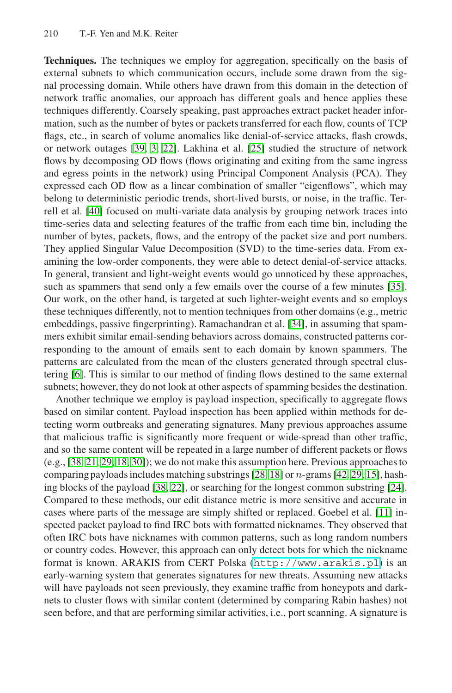**Techniques.** The techniques we employ for aggregation, specifically on the basis of external subnets to which communication occurs, include some drawn from the signal processing domain. While others have drawn from this domain in the detection of network traffic anomalies, our approach has different goals and hence applies these techniques differently. Coarsely speaking, past approaches extract packet header information, such as the number of bytes or packets transferred for each flow, counts of TCP flags, etc., in search of volume anomalies like denial-of-service attacks, flash crowds, or network outages [\[39,](#page-17-7) [3,](#page-16-9) [22\]](#page-16-10). Lakhina et al. [\[25\]](#page-17-8) studied the structure of network flows by decomposing OD flows (flows originating and exiting from the same ingress and egress points in the network) using Principal Component Analysis (PCA). They expressed each OD flow as a linear combination of smaller "eigenflows", which may belong to deterministic periodic trends, short-lived bursts, or noise, in the traffic. Terrell et al. [\[40\]](#page-17-9) focused on multi-variate data analysis by grouping network traces into time-series data and selecting features of the traffic from each time bin, including the number of bytes, packets, flows, and the entropy of the packet size and port numbers. They applied Singular Value Decomposition (SVD) to the time-series data. From examining the low-order components, they were able to detect denial-of-service attacks. In general, transient and light-weight events would go unnoticed by these approaches, such as spammers that send only a few emails over the course of a few minutes [\[35\]](#page-17-10). Our work, on the other hand, is targeted at such lighter-weight events and so employs these techniques differently, not to mention techniques from other domains (e.g., metric embeddings, passive fingerprinting). Ramachandran et al. [\[34\]](#page-17-11), in assuming that spammers exhibit similar email-sending behaviors across domains, constructed patterns corresponding to the amount of emails sent to each domain by known spammers. The patterns are calculated from the mean of the clusters generated through spectral clustering [\[6\]](#page-16-11). This is similar to our method of finding flows destined to the same external subnets; however, they do not look at other aspects of spamming besides the destination.

Another technique we employ is payload inspection, specifically to aggregate flows based on similar content. Payload inspection has been applied within methods for detecting worm outbreaks and generating signatures. Many previous approaches assume that malicious traffic is significantly more frequent or wide-spread than other traffic, and so the same content will be repeated in a large number of different packets or flows (e.g., [\[38,](#page-17-0) [21,](#page-16-12) [29,](#page-17-12) [18,](#page-16-13) [30\]](#page-17-13)); we do not make this assumption here. Previous approaches to comparing payloads includes matching substrings [\[28,](#page-17-14) [18\]](#page-16-13) or n-grams [\[42,](#page-17-15) [29,](#page-17-12) [15\]](#page-16-6), hashing blocks of the payload [\[38,](#page-17-0) [22\]](#page-16-10), or searching for the longest common substring [\[24\]](#page-17-16). Compared to these methods, our edit distance metric is more sensitive and accurate in cases where parts of the message are simply shifted or replaced. Goebel et al. [\[11\]](#page-16-2) inspected packet payload to find IRC bots with formatted nicknames. They observed that often IRC bots have nicknames with common patterns, such as long random numbers or country codes. However, this approach can only detect bots for which the nickname format is known. ARAKIS from CERT Polska (<http://www.arakis.pl>) is an early-warning system that generates signatures for new threats. Assuming new attacks will have payloads not seen previously, they examine traffic from honeypots and darknets to cluster flows with similar content (determined by comparing Rabin hashes) not seen before, and that are performing similar activities, i.e., port scanning. A signature is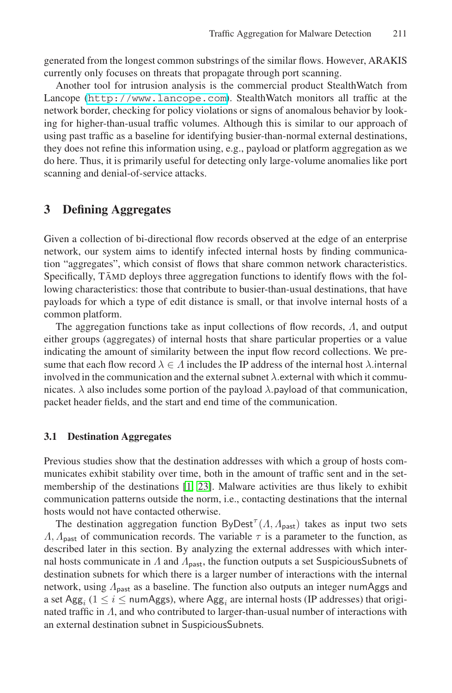generated from the longest common substrings of the similar flows. However, ARAKIS currently only focuses on threats that propagate through port scanning.

Another tool for intrusion analysis is the commercial product StealthWatch from Lancope (<http://www.lancope.com>). StealthWatch monitors all traffic at the network border, checking for policy violations or signs of anomalous behavior by looking for higher-than-usual traffic volumes. Although this is similar to our approach of using past traffic as a baseline for identifying busier-than-normal external destinations, they does not refine this information using, e.g., payload or platform aggregation as we do here. Thus, it is primarily useful for detecting only large-volume anomalies like port scanning and denial-of-service attacks.

### <span id="page-4-0"></span>**3 Defining Aggregates**

Given a collection of bi-directional flow records observed at the edge of an enterprise network, our system aims to identify infected internal hosts by finding communication "aggregates", which consist of flows that share common network characteristics. Specifically,  $T\bar{A}MD$  deploys three aggregation functions to identify flows with the following characteristics: those that contribute to busier-than-usual destinations, that have payloads for which a type of edit distance is small, or that involve internal hosts of a common platform.

The aggregation functions take as input collections of flow records,  $\Lambda$ , and output either groups (aggregates) of internal hosts that share particular properties or a value indicating the amount of similarity between the input flow record collections. We presume that each flow record  $\lambda \in \Lambda$  includes the IP address of the internal host  $\lambda$  internal involved in the communication and the external subnet  $\lambda$  external with which it communicates.  $\lambda$  also includes some portion of the payload  $\lambda$  payload of that communication, packet header fields, and the start and end time of the communication.

#### <span id="page-4-1"></span>**3.1 Destination Aggregates**

Previous studies show that the destination addresses with which a group of hosts communicates exhibit stability over time, both in the amount of traffic sent and in the setmembership of the destinations [\[1,](#page-15-0) [23\]](#page-17-17). Malware activities are thus likely to exhibit communication patterns outside the norm, i.e., contacting destinations that the internal hosts would not have contacted otherwise.

The destination aggregation function ByDest<sup> $\tau$ </sup>( $\Lambda$ ,  $\Lambda_{\text{past}}$ ) takes as input two sets  $\Lambda$ ,  $\Lambda$ <sub>past</sub> of communication records. The variable  $\tau$  is a parameter to the function, as described later in this section. By analyzing the external addresses with which internal hosts communicate in  $\Lambda$  and  $\Lambda_{\text{past}}$ , the function outputs a set SuspiciousSubnets of destination subnets for which there is a larger number of interactions with the internal network, using  $\Lambda_{\text{past}}$  as a baseline. The function also outputs an integer numAggs and a set Agg<sub>i</sub>  $(1 \le i \le$  numAggs), where Agg<sub>i</sub> are internal hosts (IP addresses) that originated traffic in Λ, and who contributed to larger-than-usual number of interactions with an external destination subnet in SuspiciousSubnets.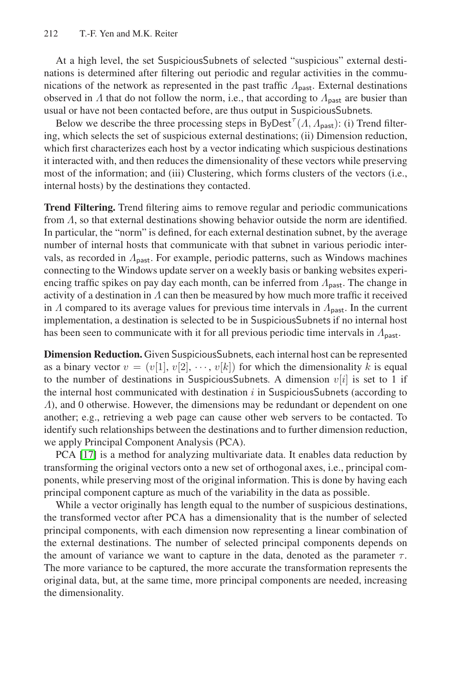At a high level, the set SuspiciousSubnets of selected "suspicious" external destinations is determined after filtering out periodic and regular activities in the communications of the network as represented in the past traffic  $\Lambda_{\text{past}}$ . External destinations observed in  $\Lambda$  that do not follow the norm, i.e., that according to  $\Lambda_{\text{past}}$  are busier than usual or have not been contacted before, are thus output in SuspiciousSubnets.

Below we describe the three processing steps in ByDest<sup> $\tau$ </sup>( $\Lambda$ ,  $\Lambda_{\text{past}}$ ): (i) Trend filtering, which selects the set of suspicious external destinations; (ii) Dimension reduction, which first characterizes each host by a vector indicating which suspicious destinations it interacted with, and then reduces the dimensionality of these vectors while preserving most of the information; and (iii) Clustering, which forms clusters of the vectors (i.e., internal hosts) by the destinations they contacted.

**Trend Filtering.** Trend filtering aims to remove regular and periodic communications from Λ, so that external destinations showing behavior outside the norm are identified. In particular, the "norm" is defined, for each external destination subnet, by the average number of internal hosts that communicate with that subnet in various periodic intervals, as recorded in  $\Lambda_{\text{past}}$ . For example, periodic patterns, such as Windows machines connecting to the Windows update server on a weekly basis or banking websites experiencing traffic spikes on pay day each month, can be inferred from  $\Lambda_{\text{past}}$ . The change in activity of a destination in  $\Lambda$  can then be measured by how much more traffic it received in Λ compared to its average values for previous time intervals in  $\Lambda_{\text{past}}$ . In the current implementation, a destination is selected to be in SuspiciousSubnets if no internal host has been seen to communicate with it for all previous periodic time intervals in  $\Lambda_{\text{past}}$ .

**Dimension Reduction.** Given SuspiciousSubnets, each internal host can be represented as a binary vector  $v = (v[1], v[2], \dots, v[k])$  for which the dimensionality k is equal to the number of destinations in SuspiciousSubnets. A dimension  $v[i]$  is set to 1 if the internal host communicated with destination  $i$  in SuspiciousSubnets (according to Λ), and 0 otherwise. However, the dimensions may be redundant or dependent on one another; e.g., retrieving a web page can cause other web servers to be contacted. To identify such relationships between the destinations and to further dimension reduction, we apply Principal Component Analysis (PCA).

PCA [\[17\]](#page-16-14) is a method for analyzing multivariate data. It enables data reduction by transforming the original vectors onto a new set of orthogonal axes, i.e., principal components, while preserving most of the original information. This is done by having each principal component capture as much of the variability in the data as possible.

While a vector originally has length equal to the number of suspicious destinations, the transformed vector after PCA has a dimensionality that is the number of selected principal components, with each dimension now representing a linear combination of the external destinations. The number of selected principal components depends on the amount of variance we want to capture in the data, denoted as the parameter  $\tau$ . The more variance to be captured, the more accurate the transformation represents the original data, but, at the same time, more principal components are needed, increasing the dimensionality.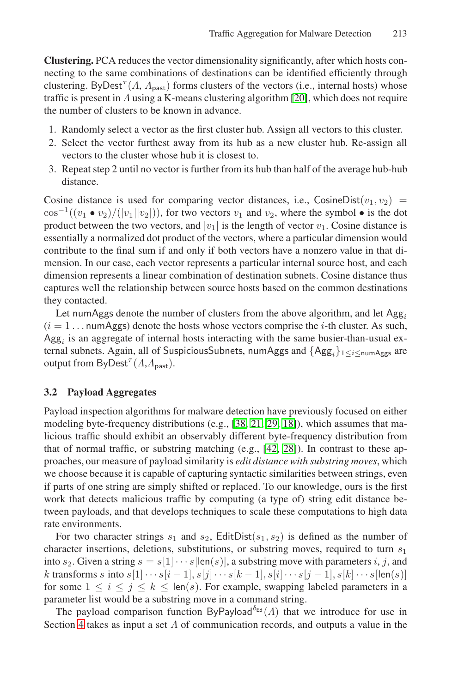**Clustering.** PCA reduces the vector dimensionality significantly, after which hosts connecting to the same combinations of destinations can be identified efficiently through clustering. ByDest<sup> $\tau$ </sup>( $\Lambda$ ,  $\Lambda_{\text{past}}$ ) forms clusters of the vectors (i.e., internal hosts) whose traffic is present in  $\Lambda$  using a K-means clustering algorithm [\[20\]](#page-16-15), which does not require the number of clusters to be known in advance.

- 1. Randomly select a vector as the first cluster hub. Assign all vectors to this cluster.
- 2. Select the vector furthest away from its hub as a new cluster hub. Re-assign all vectors to the cluster whose hub it is closest to.
- 3. Repeat step 2 until no vector is further from its hub than half of the average hub-hub distance.

Cosine distance is used for comparing vector distances, i.e., CosineDist $(v_1, v_2)$  =  $\cos^{-1}((v_1 \bullet v_2)/(|v_1||v_2|))$ , for two vectors  $v_1$  and  $v_2$ , where the symbol  $\bullet$  is the dot product between the two vectors, and  $|v_1|$  is the length of vector  $v_1$ . Cosine distance is essentially a normalized dot product of the vectors, where a particular dimension would contribute to the final sum if and only if both vectors have a nonzero value in that dimension. In our case, each vector represents a particular internal source host, and each dimension represents a linear combination of destination subnets. Cosine distance thus captures well the relationship between source hosts based on the common destinations they contacted.

Let numAggs denote the number of clusters from the above algorithm, and let  $\text{Agg}_i$  $(i = 1 \dots$  numAggs) denote the hosts whose vectors comprise the *i*-th cluster. As such,  $\text{Agg}_i$  is an aggregate of internal hosts interacting with the same busier-than-usual external subnets. Again, all of SuspiciousSubnets, numAggs and  $\{Agg_i\}_{1 \leq i \leq number}$  are output from ByDest<sup> $\tau$ </sup>( $\Lambda$ , $\Lambda$ <sub>past</sub>).

### <span id="page-6-0"></span>**3.2 Payload Aggregates**

Payload inspection algorithms for malware detection have previously focused on either modeling byte-frequency distributions (e.g., [\[38,](#page-17-0) [21,](#page-16-12) [29,](#page-17-12) [18\]](#page-16-13)), which assumes that malicious traffic should exhibit an observably different byte-frequency distribution from that of normal traffic, or substring matching (e.g., [\[42,](#page-17-15) [28\]](#page-17-14)). In contrast to these approaches, our measure of payload similarity is *edit distance with substring moves*, which we choose because it is capable of capturing syntactic similarities between strings, even if parts of one string are simply shifted or replaced. To our knowledge, ours is the first work that detects malicious traffic by computing (a type of) string edit distance between payloads, and that develops techniques to scale these computations to high data rate environments.

For two character strings  $s_1$  and  $s_2$ , EditDist $(s_1, s_2)$  is defined as the number of character insertions, deletions, substitutions, or substring moves, required to turn  $s_1$ into  $s_2$ . Given a string  $s = s[1] \cdots s[\text{len}(s)]$ , a substring move with parameters i, j, and k transforms s into  $s[1] \cdots s[i-1], s[j] \cdots s[k-1], s[i] \cdots s[j-1], s[k] \cdots s[\text{len}(s)]$ for some  $1 \le i \le j \le k \le \text{len}(s)$ . For example, swapping labeled parameters in a parameter list would be a substring move in a command string.

The payload comparison function ByPayload<sup>δEd</sup> (Λ) that we introduce for use in Section [4](#page-9-0) takes as input a set  $\Lambda$  of communication records, and outputs a value in the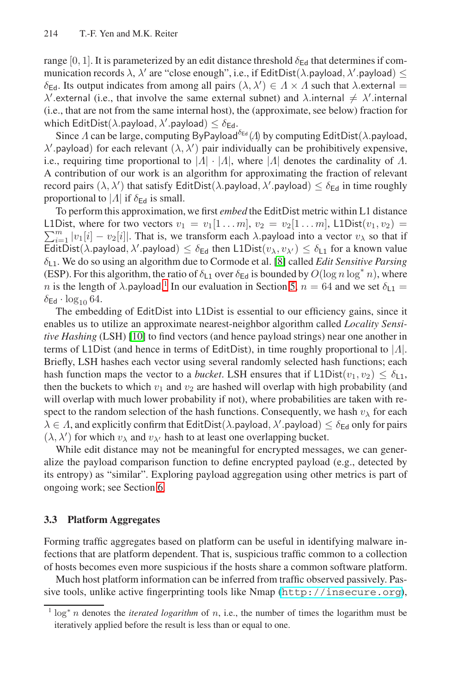range [0, 1]. It is parameterized by an edit distance threshold  $\delta_{\text{Ed}}$  that determines if communication records  $\lambda$ ,  $\lambda'$  are "close enough", i.e., if EditDist( $\lambda$ .payload,  $\lambda'$ .payload)  $\leq$ δ<sub>Ed</sub>. Its output indicates from among all pairs  $(λ, λ') ∈ Λ × Λ$  such that  $λ$ . external = λ' external (i.e., that involve the same external subnet) and λ internal  $\neq \lambda'$  internal (i.e., that are not from the same internal host), the (approximate, see below) fraction for which EditDist $(\lambda.$ payload,  $\lambda'.$ payload $)\leq\delta_{\mathsf{Ed}}.$ 

Since  $\Lambda$  can be large, computing ByPayload  $\delta$ <sup>Ed</sup> ( $\Lambda$ ) by computing EditDist( $\lambda$ .payload,  $\lambda'$  payload) for each relevant  $(\lambda, \lambda')$  pair individually can be prohibitively expensive, i.e., requiring time proportional to  $|A| \cdot |A|$ , where  $|A|$  denotes the cardinality of  $\Lambda$ . A contribution of our work is an algorithm for approximating the fraction of relevant record pairs  $(\lambda, \lambda')$  that satisfy EditDist $(\lambda.$ payload,  $\lambda'.$ payload)  $\leq \delta_{\sf Ed}$  in time roughly proportional to | $\Lambda$ | if  $\delta_{\text{Ed}}$  is small.

To perform this approximation, we first *embed* the EditDist metric within L1 distance L1Dist, where for two vectors  $v_1 = v_1[1 \dots m]$ ,  $v_2 = v_2[1 \dots m]$ , L1Dist $(v_1, v_2) = \sum_{i=1}^{m} |v_i|$  is  $v_i$  in the is we transform such a produced into a vector  $v_i$  so that if  $\sum_{i=1}^{m} |v_1[i] - v_2[i]|$ . That is, we transform each  $\lambda$  payload into a vector  $v_\lambda$  so that if EditDist( $\lambda$ .payload,  $\lambda'$ .payload)  $\leq \delta_{\text{Ed}}$  then L1Dist $(v_\lambda, v_{\lambda'}) \leq \delta_{\text{L1}}$  for a known value δL1. We do so using an algorithm due to Cormode et al. [\[8\]](#page-16-0) called *Edit Sensitive Parsing* (ESP). For this algorithm, the ratio of  $\delta_{L1}$  over  $\delta_{Ed}$  is bounded by  $O(\log n \log^* n)$ , where *n* is the length of  $\lambda$ .payload.<sup>[1](#page-7-0)</sup> In our evaluation in Section [5,](#page-10-0)  $n = 64$  and we set  $\delta_{L1} =$  $\delta_{\text{Ed}} \cdot \log_{10} 64.$ 

The embedding of EditDist into L1Dist is essential to our efficiency gains, since it enables us to utilize an approximate nearest-neighbor algorithm called *Locality Sensitive Hashing* (LSH) [\[10\]](#page-16-16) to find vectors (and hence payload strings) near one another in terms of L1Dist (and hence in terms of EditDist), in time roughly proportional to  $|A|$ . Briefly, LSH hashes each vector using several randomly selected hash functions; each hash function maps the vector to a *bucket*. LSH ensures that if  $L1Dist(v_1, v_2) \le \delta_{L1}$ , then the buckets to which  $v_1$  and  $v_2$  are hashed will overlap with high probability (and will overlap with much lower probability if not), where probabilities are taken with respect to the random selection of the hash functions. Consequently, we hash  $v_{\lambda}$  for each  $\lambda\in\varLambda,$  and explicitly confirm that EditDist $(\lambda.$ payload,  $\lambda'.$ payload)  $\leq\delta_\mathsf{Ed}$  only for pairs  $(\lambda, \lambda')$  for which  $v_{\lambda}$  and  $v_{\lambda'}$  hash to at least one overlapping bucket.

While edit distance may not be meaningful for encrypted messages, we can generalize the payload comparison function to define encrypted payload (e.g., detected by its entropy) as "similar". Exploring payload aggregation using other metrics is part of ongoing work; see Section [6.](#page-14-0)

### <span id="page-7-1"></span>**3.3 Platform Aggregates**

Forming traffic aggregates based on platform can be useful in identifying malware infections that are platform dependent. That is, suspicious traffic common to a collection of hosts becomes even more suspicious if the hosts share a common software platform.

Much host platform information can be inferred from traffic observed passively. Passive tools, unlike active fingerprinting tools like Nmap (<http://insecure.org>),

<span id="page-7-0"></span><sup>1</sup> log<sup>∗</sup> n denotes the *iterated logarithm* of n, i.e., the number of times the logarithm must be iteratively applied before the result is less than or equal to one.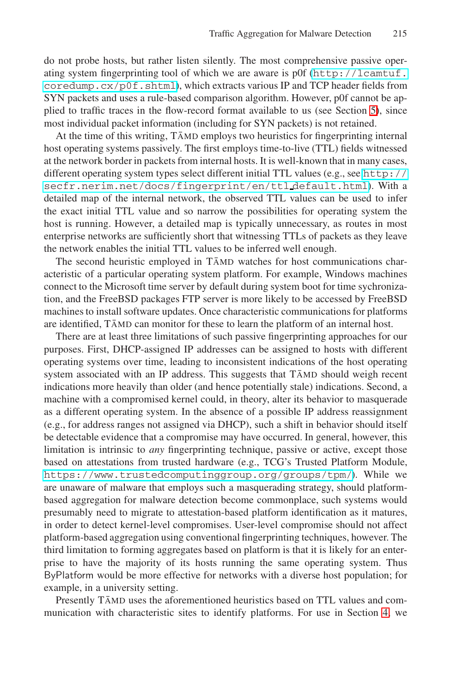do not probe hosts, but rather listen silently. The most comprehensive passive operating system fingerprinting tool of which we are aware is p0f ([http://lcamtuf.](http://lcamtuf.coredump.cx/p0f.shtml) [coredump.cx/p0f.shtml](http://lcamtuf.coredump.cx/p0f.shtml)), which extracts various IP and TCP header fields from SYN packets and uses a rule-based comparison algorithm. However, p0f cannot be applied to traffic traces in the flow-record format available to us (see Section [5\)](#page-10-0), since most individual packet information (including for SYN packets) is not retained.

At the time of this writing,  $T\bar{A}MD$  employs two heuristics for fingerprinting internal host operating systems passively. The first employs time-to-live (TTL) fields witnessed at the network border in packets from internal hosts. It is well-known that in many cases, different operating system types select different initial TTL values (e.g., see [http://](http://secfr.nerim.net/docs/fingerprint/en/ttl_default.html) [secfr.nerim.net/docs/fingerprint/en/ttl](http://secfr.nerim.net/docs/fingerprint/en/ttl_default.html) default.html). With a detailed map of the internal network, the observed TTL values can be used to infer the exact initial TTL value and so narrow the possibilities for operating system the host is running. However, a detailed map is typically unnecessary, as routes in most enterprise networks are sufficiently short that witnessing TTLs of packets as they leave the network enables the initial TTL values to be inferred well enough.

The second heuristic employed in  $T\bar{A}MD$  watches for host communications characteristic of a particular operating system platform. For example, Windows machines connect to the Microsoft time server by default during system boot for time sychronization, and the FreeBSD packages FTP server is more likely to be accessed by FreeBSD machines to install software updates. Once characteristic communications for platforms are identified, TAMD can monitor for these to learn the platform of an internal host.

There are at least three limitations of such passive fingerprinting approaches for our purposes. First, DHCP-assigned IP addresses can be assigned to hosts with different operating systems over time, leading to inconsistent indications of the host operating system associated with an IP address. This suggests that  $T\bar{A}MD$  should weigh recent indications more heavily than older (and hence potentially stale) indications. Second, a machine with a compromised kernel could, in theory, alter its behavior to masquerade as a different operating system. In the absence of a possible IP address reassignment (e.g., for address ranges not assigned via DHCP), such a shift in behavior should itself be detectable evidence that a compromise may have occurred. In general, however, this limitation is intrinsic to *any* fingerprinting technique, passive or active, except those based on attestations from trusted hardware (e.g., TCG's Trusted Platform Module, <https://www.trustedcomputinggroup.org/groups/tpm/>). While we are unaware of malware that employs such a masquerading strategy, should platformbased aggregation for malware detection become commonplace, such systems would presumably need to migrate to attestation-based platform identification as it matures, in order to detect kernel-level compromises. User-level compromise should not affect platform-based aggregation using conventional fingerprinting techniques, however. The third limitation to forming aggregates based on platform is that it is likely for an enterprise to have the majority of its hosts running the same operating system. Thus ByPlatform would be more effective for networks with a diverse host population; for example, in a university setting.

Presently TAMD uses the aforementioned heuristics based on TTL values and communication with characteristic sites to identify platforms. For use in Section [4,](#page-9-0) we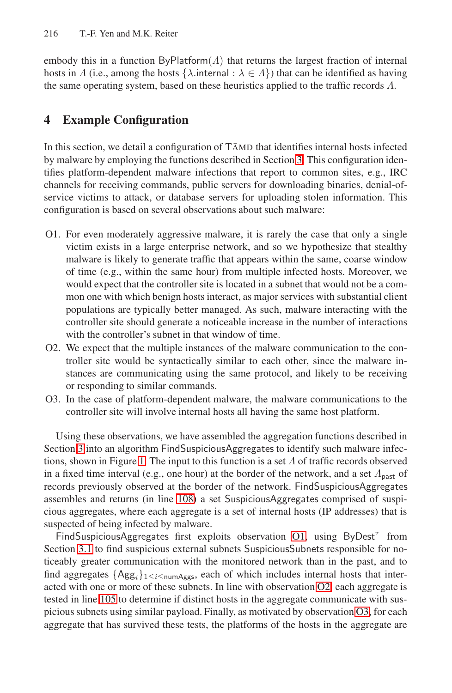embody this in a function ByPlatform $(A)$  that returns the largest fraction of internal hosts in  $\Lambda$  (i.e., among the hosts  $\{\lambda \text{.internal} : \lambda \in \Lambda\}$ ) that can be identified as having the same operating system, based on these heuristics applied to the traffic records Λ.

# <span id="page-9-0"></span>**4 Example Configuration**

In this section, we detail a configuration of  $T\bar{A}MD$  that identifies internal hosts infected by malware by employing the functions described in Section [3.](#page-4-0) This configuration identifies platform-dependent malware infections that report to common sites, e.g., IRC channels for receiving commands, public servers for downloading binaries, denial-ofservice victims to attack, or database servers for uploading stolen information. This configuration is based on several observations about such malware:

- <span id="page-9-1"></span>O1. For even moderately aggressive malware, it is rarely the case that only a single victim exists in a large enterprise network, and so we hypothesize that stealthy malware is likely to generate traffic that appears within the same, coarse window of time (e.g., within the same hour) from multiple infected hosts. Moreover, we would expect that the controller site is located in a subnet that would not be a common one with which benign hosts interact, as major services with substantial client populations are typically better managed. As such, malware interacting with the controller site should generate a noticeable increase in the number of interactions with the controller's subnet in that window of time.
- <span id="page-9-2"></span>O2. We expect that the multiple instances of the malware communication to the controller site would be syntactically similar to each other, since the malware instances are communicating using the same protocol, and likely to be receiving or responding to similar commands.
- <span id="page-9-3"></span>O3. In the case of platform-dependent malware, the malware communications to the controller site will involve internal hosts all having the same host platform.

Using these observations, we have assembled the aggregation functions described in Section [3](#page-4-0) into an algorithm FindSuspiciousAggregates to identify such malware infec-tions, shown in Figure [1.](#page-10-1) The input to this function is a set  $\Lambda$  of traffic records observed in a fixed time interval (e.g., one hour) at the border of the network, and a set  $\Lambda_{\text{past}}$  of records previously observed at the border of the network. FindSuspiciousAggregates assembles and returns (in line [108\)](#page-10-2) a set SuspiciousAggregates comprised of suspicious aggregates, where each aggregate is a set of internal hosts (IP addresses) that is suspected of being infected by malware.

FindSuspiciousAggregates first exploits observation [O1,](#page-9-1) using  $ByDest^{\tau}$  from Section [3.1](#page-4-1) to find suspicious external subnets SuspiciousSubnets responsible for noticeably greater communication with the monitored network than in the past, and to find aggregates  $\{Agg_i\}_{1 \leq i \leq \text{numAggs}}$ , each of which includes internal hosts that interacted with one or more of these subnets. In line with observation [O2,](#page-9-2) each aggregate is tested in line [105](#page-10-3) to determine if distinct hosts in the aggregate communicate with suspicious subnets using similar payload. Finally, as motivated by observation [O3,](#page-9-3) for each aggregate that has survived these tests, the platforms of the hosts in the aggregate are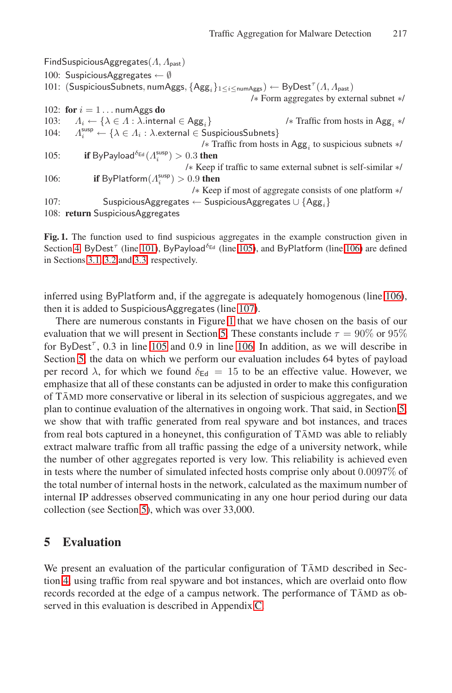<span id="page-10-4"></span><span id="page-10-3"></span>FindSuspiciousAggregates $(A, A_{\text{past}})$ 100: SuspiciousAggregates  $\leftarrow \emptyset$ 101: (SuspiciousSubnets, numAggs,  $\{Agg_i\}_{1 \leq i \leq \text{numAggs}}$ ) ← ByDest<sup> $\tau$ </sup>( $\Lambda$ ,  $\Lambda_{\text{past}}$ ) /∗ Form aggregates by external subnet ∗/ 102: **for**  $i = 1 \dots$  numAggs **do** 103:  $\Lambda_i \leftarrow \{\lambda \in \Lambda : \lambda \text{.internal} \in \text{Agg}_i\}$  /\* Traffic from hosts in Agg<sub>i</sub> \*/ 104:  $\Lambda_i^{\text{sup}}$  ← { $\lambda \in \Lambda_i$  :  $\lambda$ . external ∈ SuspiciousSubnets} /∗ Traffic from hosts in  $\text{Agg}_i$  to suspicious subnets  $\ast$ / 105: **if** ByPayload<sup> $\delta$ Ed</sup>  $(\Lambda_i^{\text{susp}}) > 0.3$  then /∗ Keep if traffic to same external subnet is self-similar ∗/ 106: **if** ByPlatform $(\Lambda_i^{\text{supp}}) > 0.9$  then /∗ Keep if most of aggregate consists of one platform ∗/ 107: SuspiciousAggregates ← SuspiciousAggregates ∪ {Agg<sub>i</sub>} 108: **return** SuspiciousAggregates

<span id="page-10-6"></span><span id="page-10-5"></span><span id="page-10-2"></span><span id="page-10-1"></span>**Fig. 1.** The function used to find suspicious aggregates in the example construction given in Section [4.](#page-9-0) ByDest<sup> $\tau$ </sup> (line [101\)](#page-10-4), ByPayload<sup> $\delta$ Ed</sup> (line [105\)](#page-10-3), and ByPlatform (line [106\)](#page-10-5) are defined in Sections [3.1,](#page-4-1) [3.2](#page-6-0) and [3.3,](#page-7-1) respectively.

inferred using ByPlatform and, if the aggregate is adequately homogenous (line [106\)](#page-10-5), then it is added to SuspiciousAggregates (line [107\)](#page-10-6).

There are numerous constants in Figure [1](#page-10-1) that we have chosen on the basis of our evaluation that we will present in Section [5.](#page-10-0) These constants include  $\tau = 90\%$  or  $95\%$ for ByDest<sup> $\tau$ </sup>, 0.3 in line [105](#page-10-3) and 0.9 in line [106.](#page-10-5) In addition, as we will describe in Section [5,](#page-10-0) the data on which we perform our evaluation includes 64 bytes of payload per record  $\lambda$ , for which we found  $\delta_{\text{Ed}} = 15$  to be an effective value. However, we emphasize that all of these constants can be adjusted in order to make this configuration of TAMD more conservative or liberal in its selection of suspicious aggregates, and we plan to continue evaluation of the alternatives in ongoing work. That said, in Section [5,](#page-10-0) we show that with traffic generated from real spyware and bot instances, and traces from real bots captured in a honeynet, this configuration of  $T\bar{A}MD$  was able to reliably extract malware traffic from all traffic passing the edge of a university network, while the number of other aggregates reported is very low. This reliability is achieved even in tests where the number of simulated infected hosts comprise only about 0.0097% of the total number of internal hosts in the network, calculated as the maximum number of internal IP addresses observed communicating in any one hour period during our data collection (see Section [5\)](#page-10-0), which was over 33,000.

## <span id="page-10-0"></span>**5 Evaluation**

We present an evaluation of the particular configuration of  $T\overline{A}MD$  described in Section [4,](#page-9-0) using traffic from real spyware and bot instances, which are overlaid onto flow records recorded at the edge of a campus network. The performance of TAMD as observed in this evaluation is described in Appendix [C.](#page-19-0)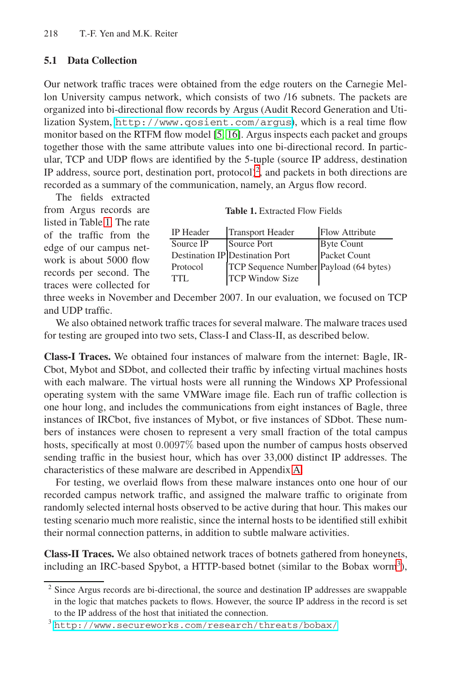### <span id="page-11-3"></span>**5.1 Data Collection**

Our network traffic traces were obtained from the edge routers on the Carnegie Mellon University campus network, which consists of two /16 subnets. The packets are organized into bi-directional flow records by Argus (Audit Record Generation and Utilization System, <http://www.qosient.com/argus>), which is a real time flow monitor based on the RTFM flow model [\[5,](#page-16-17) [16\]](#page-16-18). Argus inspects each packet and groups together those with the same attribute values into one bi-directional record. In particular, TCP and UDP flows are identified by the 5-tuple (source IP address, destination IP address, source port, destination port, protocol)<sup>[2](#page-11-0)</sup>, and packets in both directions are recorded as a summary of the communication, namely, an Argus flow record.

The fields extracted from Argus records are listed in Table [1.](#page-11-1) The rate of the traffic from the edge of our campus network is about 5000 flow records per second. The traces were collected for

**Table 1.** Extracted Flow Fields

<span id="page-11-1"></span>

| <b>IP</b> Header | <b>Transport Header</b>                | Flow Attribute    |
|------------------|----------------------------------------|-------------------|
| Source IP        | Source Port                            | <b>Byte Count</b> |
|                  | <b>Destination IP Destination Port</b> | Packet Count      |
| Protocol         | TCP Sequence Number Payload (64 bytes) |                   |
| TTL.             | <b>TCP Window Size</b>                 |                   |

three weeks in November and December 2007. In our evaluation, we focused on TCP and UDP traffic.

We also obtained network traffic traces for several malware. The malware traces used for testing are grouped into two sets, Class-I and Class-II, as described below.

**Class-I Traces.** We obtained four instances of malware from the internet: Bagle, IR-Cbot, Mybot and SDbot, and collected their traffic by infecting virtual machines hosts with each malware. The virtual hosts were all running the Windows XP Professional operating system with the same VMWare image file. Each run of traffic collection is one hour long, and includes the communications from eight instances of Bagle, three instances of IRCbot, five instances of Mybot, or five instances of SDbot. These numbers of instances were chosen to represent a very small fraction of the total campus hosts, specifically at most 0.0097% based upon the number of campus hosts observed sending traffic in the busiest hour, which has over 33,000 distinct IP addresses. The characteristics of these malware are described in Appendix [A.](#page-18-0)

For testing, we overlaid flows from these malware instances onto one hour of our recorded campus network traffic, and assigned the malware traffic to originate from randomly selected internal hosts observed to be active during that hour. This makes our testing scenario much more realistic, since the internal hosts to be identified still exhibit their normal connection patterns, in addition to subtle malware activities.

**Class-II Traces.** We also obtained network traces of botnets gathered from honeynets, including an IRC-based Spybot, a HTTP-based botnet (similar to the Bobax worm<sup>3</sup>),

<span id="page-11-0"></span><sup>&</sup>lt;sup>2</sup> Since Argus records are bi-directional, the source and destination IP addresses are swappable in the logic that matches packets to flows. However, the source IP address in the record is set to the IP address of the host that initiated the connection.

<span id="page-11-2"></span><sup>3</sup> <http://www.secureworks.com/research/threats/bobax/>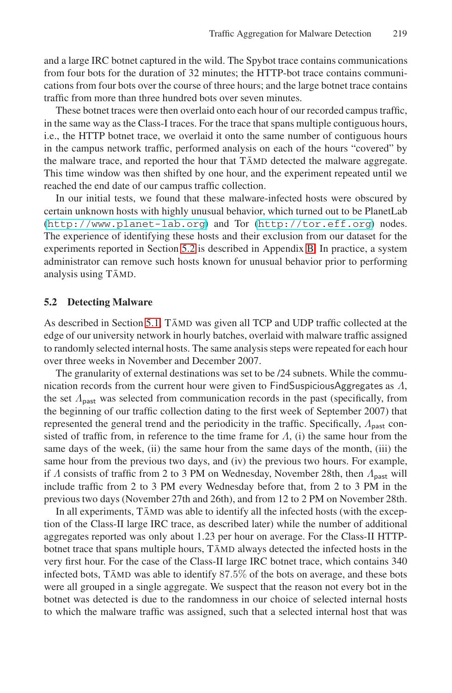and a large IRC botnet captured in the wild. The Spybot trace contains communications from four bots for the duration of 32 minutes; the HTTP-bot trace contains communications from four bots over the course of three hours; and the large botnet trace contains traffic from more than three hundred bots over seven minutes.

These botnet traces were then overlaid onto each hour of our recorded campus traffic, in the same way as the Class-I traces. For the trace that spans multiple contiguous hours, i.e., the HTTP botnet trace, we overlaid it onto the same number of contiguous hours in the campus network traffic, performed analysis on each of the hours "covered" by the malware trace, and reported the hour that  $T\bar{A}MD$  detected the malware aggregate. This time window was then shifted by one hour, and the experiment repeated until we reached the end date of our campus traffic collection.

In our initial tests, we found that these malware-infected hosts were obscured by certain unknown hosts with highly unusual behavior, which turned out to be PlanetLab (<http://www.planet-lab.org>) and Tor (<http://tor.eff.org>) nodes. The experience of identifying these hosts and their exclusion from our dataset for the experiments reported in Section [5.2](#page-12-0) is described in Appendix [B.](#page-18-1) In practice, a system administrator can remove such hosts known for unusual behavior prior to performing analysis using TAMD.

#### <span id="page-12-0"></span>**5.2 Detecting Malware**

As described in Section [5.1,](#page-11-3)  $T\bar{A}MD$  was given all TCP and UDP traffic collected at the edge of our university network in hourly batches, overlaid with malware traffic assigned to randomly selected internal hosts. The same analysis steps were repeated for each hour over three weeks in November and December 2007.

The granularity of external destinations was set to be /24 subnets. While the communication records from the current hour were given to FindSuspiciousAggregates as  $\Lambda$ , the set  $\Lambda_{\text{past}}$  was selected from communication records in the past (specifically, from the beginning of our traffic collection dating to the first week of September 2007) that represented the general trend and the periodicity in the traffic. Specifically,  $\Lambda_{\text{past}}$  consisted of traffic from, in reference to the time frame for  $\Lambda$ , (i) the same hour from the same days of the week, (ii) the same hour from the same days of the month, (iii) the same hour from the previous two days, and (iv) the previous two hours. For example, if  $\Lambda$  consists of traffic from 2 to 3 PM on Wednesday, November 28th, then  $\Lambda_{\text{past}}$  will include traffic from 2 to 3 PM every Wednesday before that, from 2 to 3 PM in the previous two days (November 27th and 26th), and from 12 to 2 PM on November 28th.

In all experiments,  $T\overline{A}MD$  was able to identify all the infected hosts (with the exception of the Class-II large IRC trace, as described later) while the number of additional aggregates reported was only about 1.23 per hour on average. For the Class-II HTTPbotnet trace that spans multiple hours, TAMD always detected the infected hosts in the very first hour. For the case of the Class-II large IRC botnet trace, which contains 340 infected bots, TAMD was able to identify  $87.5\%$  of the bots on average, and these bots were all grouped in a single aggregate. We suspect that the reason not every bot in the botnet was detected is due to the randomness in our choice of selected internal hosts to which the malware traffic was assigned, such that a selected internal host that was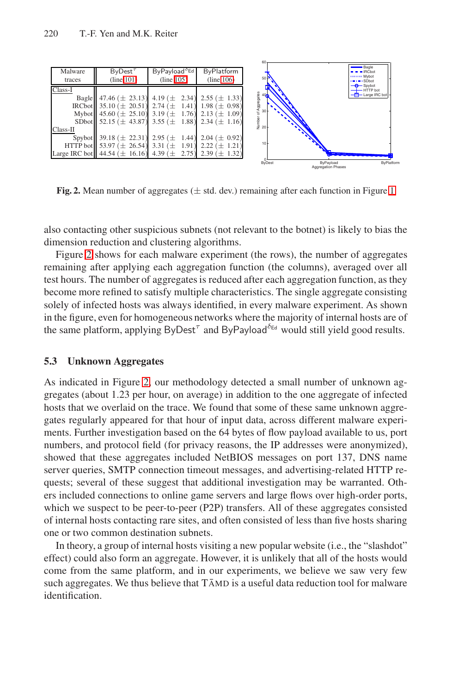

**Fig. 2.** Mean number of aggregates ( $\pm$  std. dev.) remaining after each function in Figure [1](#page-10-1)

<span id="page-13-0"></span>also contacting other suspicious subnets (not relevant to the botnet) is likely to bias the dimension reduction and clustering algorithms.

Figure [2](#page-13-0) shows for each malware experiment (the rows), the number of aggregates remaining after applying each aggregation function (the columns), averaged over all test hours. The number of aggregates is reduced after each aggregation function, as they become more refined to satisfy multiple characteristics. The single aggregate consisting solely of infected hosts was always identified, in every malware experiment. As shown in the figure, even for homogeneous networks where the majority of internal hosts are of the same platform, applying ByDest<sup> $\tau$ </sup> and ByPayload<sup> $\delta_{Ed}$ </sup> would still yield good results.

### **5.3 Unknown Aggregates**

As indicated in Figure [2,](#page-13-0) our methodology detected a small number of unknown aggregates (about 1.23 per hour, on average) in addition to the one aggregate of infected hosts that we overlaid on the trace. We found that some of these same unknown aggregates regularly appeared for that hour of input data, across different malware experiments. Further investigation based on the 64 bytes of flow payload available to us, port numbers, and protocol field (for privacy reasons, the IP addresses were anonymized), showed that these aggregates included NetBIOS messages on port 137, DNS name server queries, SMTP connection timeout messages, and advertising-related HTTP requests; several of these suggest that additional investigation may be warranted. Others included connections to online game servers and large flows over high-order ports, which we suspect to be peer-to-peer (P2P) transfers. All of these aggregates consisted of internal hosts contacting rare sites, and often consisted of less than five hosts sharing one or two common destination subnets.

In theory, a group of internal hosts visiting a new popular website (i.e., the "slashdot" effect) could also form an aggregate. However, it is unlikely that all of the hosts would come from the same platform, and in our experiments, we believe we saw very few such aggregates. We thus believe that  $T\bar{A}MD$  is a useful data reduction tool for malware identification.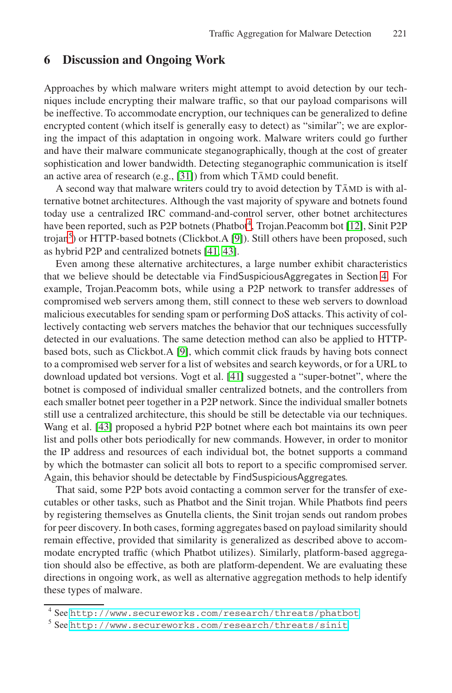### <span id="page-14-0"></span>**6 Discussion and Ongoing Work**

Approaches by which malware writers might attempt to avoid detection by our techniques include encrypting their malware traffic, so that our payload comparisons will be ineffective. To accommodate encryption, our techniques can be generalized to define encrypted content (which itself is generally easy to detect) as "similar"; we are exploring the impact of this adaptation in ongoing work. Malware writers could go further and have their malware communicate steganographically, though at the cost of greater sophistication and lower bandwidth. Detecting steganographic communication is itself an active area of research (e.g., [\[31\]](#page-17-18)) from which  $T\bar{A}MD$  could benefit.

A second way that malware writers could try to avoid detection by  $T\bar{A}MD$  is with alternative botnet architectures. Although the vast majority of spyware and botnets found today use a centralized IRC command-and-control server, other botnet architectures have been reported, such as P2P botnets (Phatbot<sup>4</sup>, Trojan.Peacomm bot [\[12\]](#page-16-19), Sinit P2P trojan<sup>[5](#page-14-2)</sup>) or HTTP-based botnets (Clickbot.A [\[9\]](#page-16-20)). Still others have been proposed, such as hybrid P2P and centralized botnets [\[41,](#page-17-19) [43\]](#page-17-20).

Even among these alternative architectures, a large number exhibit characteristics that we believe should be detectable via FindSuspiciousAggregates in Section [4.](#page-9-0) For example, Trojan.Peacomm bots, while using a P2P network to transfer addresses of compromised web servers among them, still connect to these web servers to download malicious executables for sending spam or performing DoS attacks. This activity of collectively contacting web servers matches the behavior that our techniques successfully detected in our evaluations. The same detection method can also be applied to HTTPbased bots, such as Clickbot.A [\[9\]](#page-16-20), which commit click frauds by having bots connect to a compromised web server for a list of websites and search keywords, or for a URL to download updated bot versions. Vogt et al. [\[41\]](#page-17-19) suggested a "super-botnet", where the botnet is composed of individual smaller centralized botnets, and the controllers from each smaller botnet peer together in a P2P network. Since the individual smaller botnets still use a centralized architecture, this should be still be detectable via our techniques. Wang et al. [\[43\]](#page-17-20) proposed a hybrid P2P botnet where each bot maintains its own peer list and polls other bots periodically for new commands. However, in order to monitor the IP address and resources of each individual bot, the botnet supports a command by which the botmaster can solicit all bots to report to a specific compromised server. Again, this behavior should be detectable by FindSuspiciousAggregates.

That said, some P2P bots avoid contacting a common server for the transfer of executables or other tasks, such as Phatbot and the Sinit trojan. While Phatbots find peers by registering themselves as Gnutella clients, the Sinit trojan sends out random probes for peer discovery. In both cases, forming aggregates based on payload similarity should remain effective, provided that similarity is generalized as described above to accommodate encrypted traffic (which Phatbot utilizes). Similarly, platform-based aggregation should also be effective, as both are platform-dependent. We are evaluating these directions in ongoing work, as well as alternative aggregation methods to help identify these types of malware.

<sup>4</sup> See <http://www.secureworks.com/research/threats/phatbot>

<span id="page-14-2"></span><span id="page-14-1"></span><sup>5</sup> See <http://www.secureworks.com/research/threats/sinit>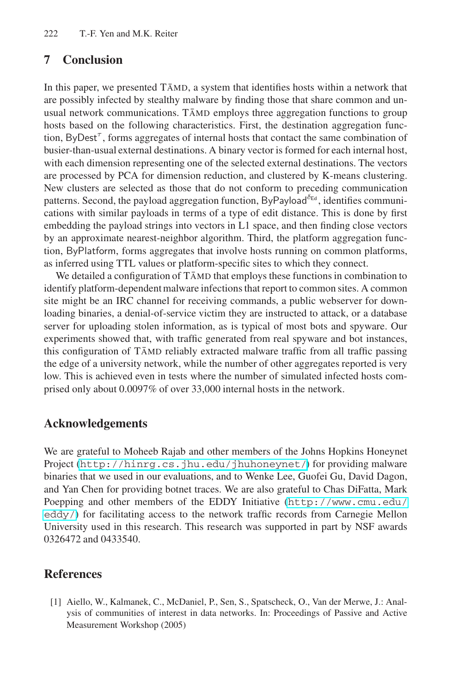# **7 Conclusion**

In this paper, we presented  $T\bar{A}MD$ , a system that identifies hosts within a network that are possibly infected by stealthy malware by finding those that share common and unusual network communications. TAMD employs three aggregation functions to group hosts based on the following characteristics. First, the destination aggregation function, ByDest<sup> $\tau$ </sup>, forms aggregates of internal hosts that contact the same combination of busier-than-usual external destinations. A binary vector is formed for each internal host, with each dimension representing one of the selected external destinations. The vectors are processed by PCA for dimension reduction, and clustered by K-means clustering. New clusters are selected as those that do not conform to preceding communication patterns. Second, the payload aggregation function, ByPayload $\delta_{\text{Ed}}$ , identifies communications with similar payloads in terms of a type of edit distance. This is done by first embedding the payload strings into vectors in L1 space, and then finding close vectors by an approximate nearest-neighbor algorithm. Third, the platform aggregation function, ByPlatform, forms aggregates that involve hosts running on common platforms, as inferred using TTL values or platform-specific sites to which they connect.

We detailed a configuration of  $T\bar{A}MD$  that employs these functions in combination to identify platform-dependent malware infections that report to common sites. A common site might be an IRC channel for receiving commands, a public webserver for downloading binaries, a denial-of-service victim they are instructed to attack, or a database server for uploading stolen information, as is typical of most bots and spyware. Our experiments showed that, with traffic generated from real spyware and bot instances, this configuration of  $T\bar{A}MD$  reliably extracted malware traffic from all traffic passing the edge of a university network, while the number of other aggregates reported is very low. This is achieved even in tests where the number of simulated infected hosts comprised only about 0.0097% of over 33,000 internal hosts in the network.

### **Acknowledgements**

We are grateful to Moheeb Rajab and other members of the Johns Hopkins Honeynet Project (<http://hinrg.cs.jhu.edu/jhuhoneynet/>) for providing malware binaries that we used in our evaluations, and to Wenke Lee, Guofei Gu, David Dagon, and Yan Chen for providing botnet traces. We are also grateful to Chas DiFatta, Mark Poepping and other members of the EDDY Initiative ([http://www.cmu.edu/](http://www.cmu.edu/eddy/) [eddy/](http://www.cmu.edu/eddy/)) for facilitating access to the network traffic records from Carnegie Mellon University used in this research. This research was supported in part by NSF awards 0326472 and 0433540.

# <span id="page-15-0"></span>**References**

[1] Aiello, W., Kalmanek, C., McDaniel, P., Sen, S., Spatscheck, O., Van der Merwe, J.: Analysis of communities of interest in data networks. In: Proceedings of Passive and Active Measurement Workshop (2005)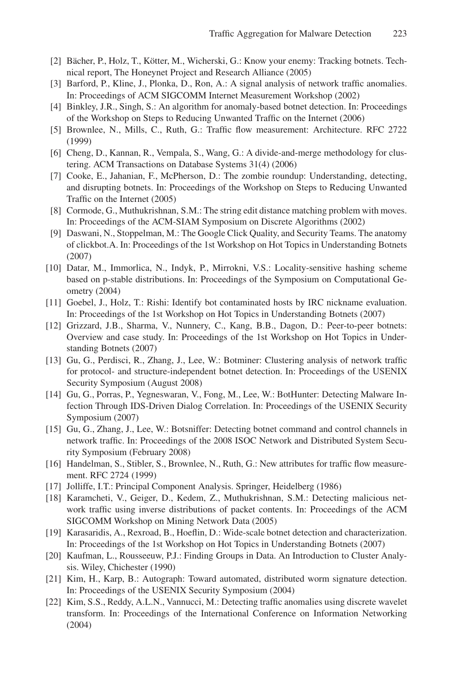- <span id="page-16-8"></span>[2] Bächer, P., Holz, T., Kötter, M., Wicherski, G.: Know your enemy: Tracking botnets. Technical report, The Honeynet Project and Research Alliance (2005)
- <span id="page-16-9"></span>[3] Barford, P., Kline, J., Plonka, D., Ron, A.: A signal analysis of network traffic anomalies. In: Proceedings of ACM SIGCOMM Internet Measurement Workshop (2002)
- <span id="page-16-4"></span>[4] Binkley, J.R., Singh, S.: An algorithm for anomaly-based botnet detection. In: Proceedings of the Workshop on Steps to Reducing Unwanted Traffic on the Internet (2006)
- <span id="page-16-17"></span>[5] Brownlee, N., Mills, C., Ruth, G.: Traffic flow measurement: Architecture. RFC 2722 (1999)
- <span id="page-16-11"></span><span id="page-16-3"></span>[6] Cheng, D., Kannan, R., Vempala, S., Wang, G.: A divide-and-merge methodology for clustering. ACM Transactions on Database Systems 31(4) (2006)
- [7] Cooke, E., Jahanian, F., McPherson, D.: The zombie roundup: Understanding, detecting, and disrupting botnets. In: Proceedings of the Workshop on Steps to Reducing Unwanted Traffic on the Internet (2005)
- <span id="page-16-0"></span>[8] Cormode, G., Muthukrishnan, S.M.: The string edit distance matching problem with moves. In: Proceedings of the ACM-SIAM Symposium on Discrete Algorithms (2002)
- <span id="page-16-20"></span>[9] Daswani, N., Stoppelman, M.: The Google Click Quality, and Security Teams. The anatomy of clickbot.A. In: Proceedings of the 1st Workshop on Hot Topics in Understanding Botnets (2007)
- <span id="page-16-16"></span>[10] Datar, M., Immorlica, N., Indyk, P., Mirrokni, V.S.: Locality-sensitive hashing scheme based on p-stable distributions. In: Proceedings of the Symposium on Computational Geometry (2004)
- <span id="page-16-2"></span>[11] Goebel, J., Holz, T.: Rishi: Identify bot contaminated hosts by IRC nickname evaluation. In: Proceedings of the 1st Workshop on Hot Topics in Understanding Botnets (2007)
- <span id="page-16-19"></span>[12] Grizzard, J.B., Sharma, V., Nunnery, C., Kang, B.B., Dagon, D.: Peer-to-peer botnets: Overview and case study. In: Proceedings of the 1st Workshop on Hot Topics in Understanding Botnets (2007)
- <span id="page-16-7"></span>[13] Gu, G., Perdisci, R., Zhang, J., Lee, W.: Botminer: Clustering analysis of network traffic for protocol- and structure-independent botnet detection. In: Proceedings of the USENIX Security Symposium (August 2008)
- <span id="page-16-5"></span>[14] Gu, G., Porras, P., Yegneswaran, V., Fong, M., Lee, W.: BotHunter: Detecting Malware Infection Through IDS-Driven Dialog Correlation. In: Proceedings of the USENIX Security Symposium (2007)
- <span id="page-16-6"></span>[15] Gu, G., Zhang, J., Lee, W.: Botsniffer: Detecting botnet command and control channels in network traffic. In: Proceedings of the 2008 ISOC Network and Distributed System Security Symposium (February 2008)
- <span id="page-16-18"></span>[16] Handelman, S., Stibler, S., Brownlee, N., Ruth, G.: New attributes for traffic flow measurement. RFC 2724 (1999)
- <span id="page-16-14"></span><span id="page-16-13"></span>[17] Jolliffe, I.T.: Principal Component Analysis. Springer, Heidelberg (1986)
- [18] Karamcheti, V., Geiger, D., Kedem, Z., Muthukrishnan, S.M.: Detecting malicious network traffic using inverse distributions of packet contents. In: Proceedings of the ACM SIGCOMM Workshop on Mining Network Data (2005)
- <span id="page-16-1"></span>[19] Karasaridis, A., Rexroad, B., Hoeflin, D.: Wide-scale botnet detection and characterization. In: Proceedings of the 1st Workshop on Hot Topics in Understanding Botnets (2007)
- <span id="page-16-15"></span><span id="page-16-12"></span>[20] Kaufman, L., Rousseeuw, P.J.: Finding Groups in Data. An Introduction to Cluster Analysis. Wiley, Chichester (1990)
- [21] Kim, H., Karp, B.: Autograph: Toward automated, distributed worm signature detection. In: Proceedings of the USENIX Security Symposium (2004)
- <span id="page-16-10"></span>[22] Kim, S.S., Reddy, A.L.N., Vannucci, M.: Detecting traffic anomalies using discrete wavelet transform. In: Proceedings of the International Conference on Information Networking (2004)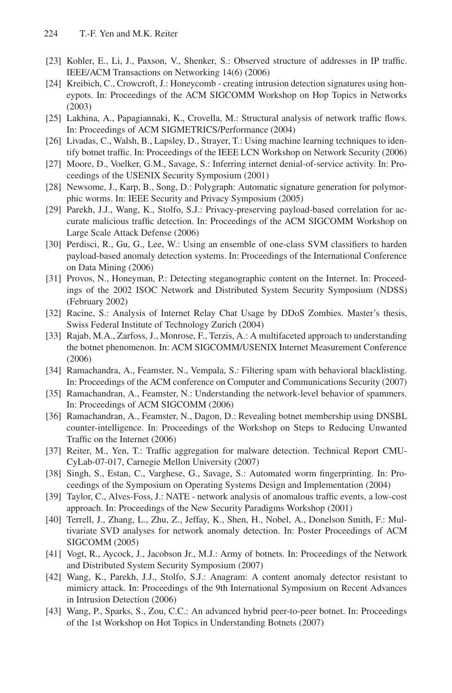- <span id="page-17-17"></span>[23] Kohler, E., Li, J., Paxson, V., Shenker, S.: Observed structure of addresses in IP traffic. IEEE/ACM Transactions on Networking 14(6) (2006)
- <span id="page-17-16"></span>[24] Kreibich, C., Crowcroft, J.: Honeycomb - creating intrusion detection signatures using honeypots. In: Proceedings of the ACM SIGCOMM Workshop on Hop Topics in Networks (2003)
- <span id="page-17-8"></span>[25] Lakhina, A., Papagiannaki, K., Crovella, M.: Structural analysis of network traffic flows. In: Proceedings of ACM SIGMETRICS/Performance (2004)
- <span id="page-17-2"></span>[26] Livadas, C., Walsh, B., Lapsley, D., Strayer, T.: Using machine learning techniques to identify botnet traffic. In: Proceedings of the IEEE LCN Workshop on Network Security (2006)
- <span id="page-17-1"></span>[27] Moore, D., Voelker, G.M., Savage, S.: Inferring internet denial-of-service activity. In: Proceedings of the USENIX Security Symposium (2001)
- <span id="page-17-14"></span>[28] Newsome, J., Karp, B., Song, D.: Polygraph: Automatic signature generation for polymorphic worms. In: IEEE Security and Privacy Symposium (2005)
- <span id="page-17-12"></span>[29] Parekh, J.J., Wang, K., Stolfo, S.J.: Privacy-preserving payload-based correlation for accurate malicious traffic detection. In: Proceedings of the ACM SIGCOMM Workshop on Large Scale Attack Defense (2006)
- <span id="page-17-13"></span>[30] Perdisci, R., Gu, G., Lee, W.: Using an ensemble of one-class SVM classifiers to harden payload-based anomaly detection systems. In: Proceedings of the International Conference on Data Mining (2006)
- <span id="page-17-18"></span>[31] Provos, N., Honeyman, P.: Detecting steganographic content on the Internet. In: Proceedings of the 2002 ISOC Network and Distributed System Security Symposium (NDSS) (February 2002)
- <span id="page-17-3"></span>[32] Racine, S.: Analysis of Internet Relay Chat Usage by DDoS Zombies. Master's thesis, Swiss Federal Institute of Technology Zurich (2004)
- <span id="page-17-6"></span>[33] Rajab, M.A., Zarfoss, J., Monrose, F., Terzis, A.: A multifaceted approach to understanding the botnet phenomenon. In: ACM SIGCOMM/USENIX Internet Measurement Conference (2006)
- <span id="page-17-11"></span>[34] Ramachandra, A., Feamster, N., Vempala, S.: Filtering spam with behavioral blacklisting. In: Proceedings of the ACM conference on Computer and Communications Security (2007)
- <span id="page-17-10"></span>[35] Ramachandran, A., Feamster, N.: Understanding the network-level behavior of spammers. In: Proceedings of ACM SIGCOMM (2006)
- <span id="page-17-4"></span>[36] Ramachandran, A., Feamster, N., Dagon, D.: Revealing botnet membership using DNSBL counter-intelligence. In: Proceedings of the Workshop on Steps to Reducing Unwanted Traffic on the Internet (2006)
- <span id="page-17-5"></span>[37] Reiter, M., Yen, T.: Traffic aggregation for malware detection. Technical Report CMU-CyLab-07-017, Carnegie Mellon University (2007)
- <span id="page-17-7"></span><span id="page-17-0"></span>[38] Singh, S., Estan, C., Varghese, G., Savage, S.: Automated worm fingerprinting. In: Proceedings of the Symposium on Operating Systems Design and Implementation (2004)
- [39] Taylor, C., Alves-Foss, J.: NATE network analysis of anomalous traffic events, a low-cost approach. In: Proceedings of the New Security Paradigms Workshop (2001)
- <span id="page-17-9"></span>[40] Terrell, J., Zhang, L., Zhu, Z., Jeffay, K., Shen, H., Nobel, A., Donelson Smith, F.: Multivariate SVD analyses for network anomaly detection. In: Poster Proceedings of ACM SIGCOMM (2005)
- <span id="page-17-19"></span>[41] Vogt, R., Aycock, J., Jacobson Jr., M.J.: Army of botnets. In: Proceedings of the Network and Distributed System Security Symposium (2007)
- <span id="page-17-15"></span>[42] Wang, K., Parekh, J.J., Stolfo, S.J.: Anagram: A content anomaly detector resistant to mimicry attack. In: Proceedings of the 9th International Symposium on Recent Advances in Intrusion Detection (2006)
- <span id="page-17-20"></span>[43] Wang, P., Sparks, S., Zou, C.C.: An advanced hybrid peer-to-peer botnet. In: Proceedings of the 1st Workshop on Hot Topics in Understanding Botnets (2007)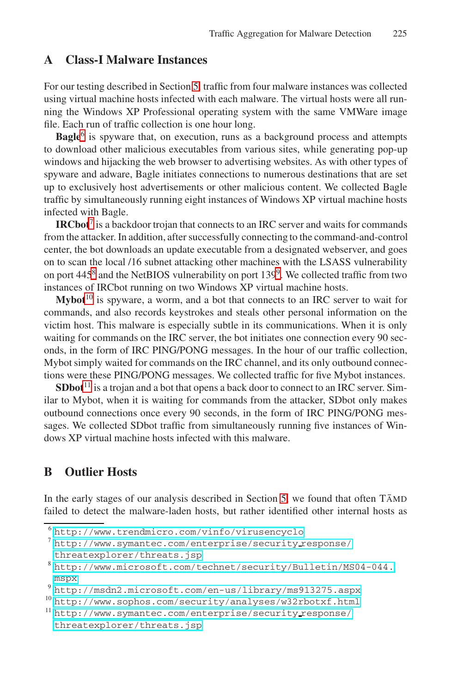# <span id="page-18-0"></span>**A Class-I Malware Instances**

For our testing described in Section [5,](#page-10-0) traffic from four malware instances was collected using virtual machine hosts infected with each malware. The virtual hosts were all running the Windows XP Professional operating system with the same VMWare image file. Each run of traffic collection is one hour long.

**Bagle**[6](#page-18-2) is spyware that, on execution, runs as a background process and attempts to download other malicious executables from various sites, while generating pop-up windows and hijacking the web browser to advertising websites. As with other types of spyware and adware, Bagle initiates connections to numerous destinations that are set up to exclusively host advertisements or other malicious content. We collected Bagle traffic by simultaneously running eight instances of Windows XP virtual machine hosts infected with Bagle.

**IRCbot**[7](#page-18-3) is a backdoor trojan that connects to an IRC server and waits for commands from the attacker. In addition, after successfully connecting to the command-and-control center, the bot downloads an update executable from a designated webserver, and goes on to scan the local /16 subnet attacking other machines with the LSASS vulnerability on port  $445^8$  $445^8$  and the NetBIOS vulnerability on port  $139^9$ . We collected traffic from two instances of IRCbot running on two Windows XP virtual machine hosts.

**Mybot**[10](#page-18-6) is spyware, a worm, and a bot that connects to an IRC server to wait for commands, and also records keystrokes and steals other personal information on the victim host. This malware is especially subtle in its communications. When it is only waiting for commands on the IRC server, the bot initiates one connection every 90 seconds, in the form of IRC PING/PONG messages. In the hour of our traffic collection, Mybot simply waited for commands on the IRC channel, and its only outbound connections were these PING/PONG messages. We collected traffic for five Mybot instances.

**SDbot**<sup>[11](#page-18-7)</sup> is a trojan and a bot that opens a back door to connect to an IRC server. Similar to Mybot, when it is waiting for commands from the attacker, SDbot only makes outbound connections once every 90 seconds, in the form of IRC PING/PONG messages. We collected SDbot traffic from simultaneously running five instances of Windows XP virtual machine hosts infected with this malware.

### <span id="page-18-1"></span>**B Outlier Hosts**

In the early stages of our analysis described in Section [5,](#page-10-0) we found that often  $T\bar{A}MD$ failed to detect the malware-laden hosts, but rather identified other internal hosts as

<sup>6</sup> <http://www.trendmicro.com/vinfo/virusencyclo>

<span id="page-18-3"></span><span id="page-18-2"></span> $7$  [http://www.symantec.com/enterprise/security](http://www.symantec.com/enterprise/security_response/threatexplorer/threats.jsp) response/ [threatexplorer/threats.jsp](http://www.symantec.com/enterprise/security_response/threatexplorer/threats.jsp)

<sup>8</sup> [http://www.microsoft.com/technet/security/Bulletin/MS04-044.](http://www.microsoft.com/technet/security/Bulletin/MS04-044.mspx) [mspx](http://www.microsoft.com/technet/security/Bulletin/MS04-044.mspx)

<span id="page-18-4"></span><sup>9</sup> <http://msdn2.microsoft.com/en-us/library/ms913275.aspx>

<span id="page-18-5"></span><sup>10</sup> <http://www.sophos.com/security/analyses/w32rbotxf.html>

<span id="page-18-7"></span><span id="page-18-6"></span><sup>11</sup> [http://www.symantec.com/enterprise/security](http://www.symantec.com/enterprise/security_response/threatexplorer/threats.jsp) response/ [threatexplorer/threats.jsp](http://www.symantec.com/enterprise/security_response/threatexplorer/threats.jsp)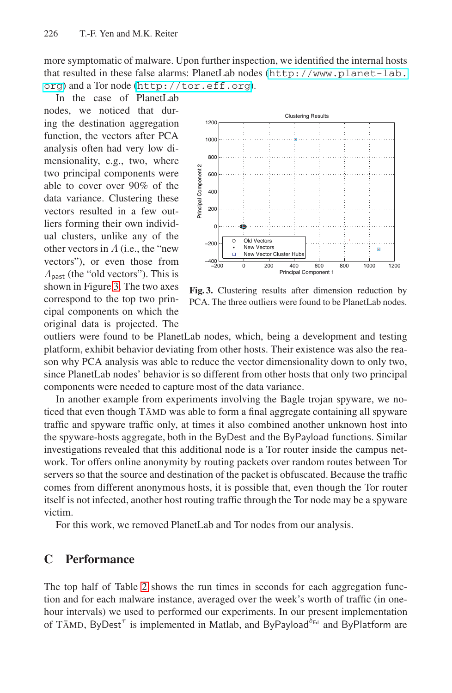more symptomatic of malware. Upon further inspection, we identified the internal hosts that resulted in these false alarms: PlanetLab nodes ([http://www.planet-lab.](http://www.planet-lab.org) [org](http://www.planet-lab.org)) and a Tor node (<http://tor.eff.org>).

In the case of PlanetLab nodes, we noticed that during the destination aggregation function, the vectors after PCA analysis often had very low dimensionality, e.g., two, where two principal components were able to cover over 90% of the data variance. Clustering these vectors resulted in a few outliers forming their own individual clusters, unlike any of the other vectors in  $\Lambda$  (i.e., the "new vectors"), or even those from  $\Lambda_{\text{past}}$  (the "old vectors"). This is shown in Figure [3.](#page-19-1) The two axes correspond to the top two principal components on which the original data is projected. The



<span id="page-19-1"></span>**Fig. 3.** Clustering results after dimension reduction by PCA. The three outliers were found to be PlanetLab nodes.

outliers were found to be PlanetLab nodes, which, being a development and testing platform, exhibit behavior deviating from other hosts. Their existence was also the reason why PCA analysis was able to reduce the vector dimensionality down to only two, since PlanetLab nodes' behavior is so different from other hosts that only two principal components were needed to capture most of the data variance.

In another example from experiments involving the Bagle trojan spyware, we noticed that even though  $T\bar{A}MD$  was able to form a final aggregate containing all spyware traffic and spyware traffic only, at times it also combined another unknown host into the spyware-hosts aggregate, both in the ByDest and the ByPayload functions. Similar investigations revealed that this additional node is a Tor router inside the campus network. Tor offers online anonymity by routing packets over random routes between Tor servers so that the source and destination of the packet is obfuscated. Because the traffic comes from different anonymous hosts, it is possible that, even though the Tor router itself is not infected, another host routing traffic through the Tor node may be a spyware victim.

For this work, we removed PlanetLab and Tor nodes from our analysis.

# <span id="page-19-0"></span>**C Performance**

The top half of Table [2](#page-20-0) shows the run times in seconds for each aggregation function and for each malware instance, averaged over the week's worth of traffic (in onehour intervals) we used to performed our experiments. In our present implementation of TAMD, ByDest<sup> $\tau$ </sup> is implemented in Matlab, and ByPayload<sup> $\delta_{Ed}$ </sup> and ByPlatform are